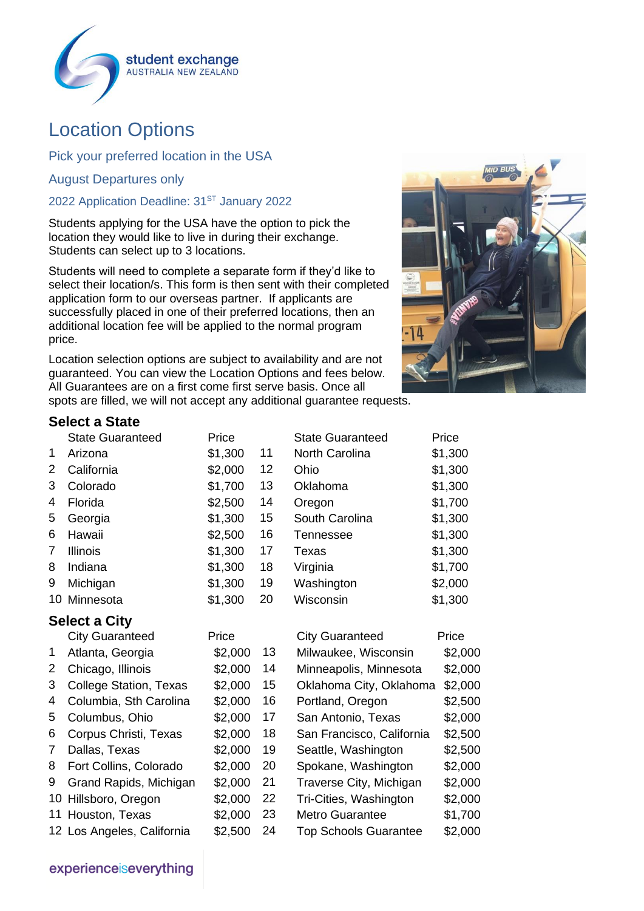

# Location Options

Pick your preferred location in the USA

August Departures only

# 2022 Application Deadline: 31<sup>ST</sup> January 2022

Students applying for the USA have the option to pick the location they would like to live in during their exchange. Students can select up to 3 locations.

Students will need to complete a separate form if they'd like to select their location/s. This form is then sent with their completed application form to our overseas partner. If applicants are successfully placed in one of their preferred locations, then an additional location fee will be applied to the normal program price.

Location selection options are subject to availability and are not guaranteed. You can view the Location Options and fees below. All Guarantees are on a first come first serve basis. Once all spots are filled, we will not accept any additional guarantee requests.



### **Select a State**

|   | <b>State Guaranteed</b> | Price   |    | <b>State Guaranteed</b> | Price   |
|---|-------------------------|---------|----|-------------------------|---------|
| 1 | Arizona                 | \$1,300 | 11 | <b>North Carolina</b>   | \$1,300 |
| 2 | California              | \$2,000 | 12 | Ohio                    | \$1,300 |
| 3 | Colorado                | \$1,700 | 13 | Oklahoma                | \$1,300 |
| 4 | Florida                 | \$2,500 | 14 | Oregon                  | \$1,700 |
| 5 | Georgia                 | \$1,300 | 15 | South Carolina          | \$1,300 |
| 6 | Hawaii                  | \$2,500 | 16 | Tennessee               | \$1,300 |
| 7 | <b>Illinois</b>         | \$1,300 | 17 | Texas                   | \$1,300 |
| 8 | Indiana                 | \$1,300 | 18 | Virginia                | \$1,700 |
| 9 | Michigan                | \$1,300 | 19 | Washington              | \$2,000 |
|   | 10 Minnesota            | \$1,300 | 20 | Wisconsin               | \$1,300 |
|   |                         |         |    |                         |         |

## **Select a City**

|                       |                               | Price   |    | <b>City Guaranteed</b>       | Price   |
|-----------------------|-------------------------------|---------|----|------------------------------|---------|
|                       | <b>City Guaranteed</b>        |         |    |                              |         |
| 1                     | Atlanta, Georgia              | \$2,000 | 13 | Milwaukee, Wisconsin         | \$2,000 |
| $\mathbf{2}^{\prime}$ | Chicago, Illinois             | \$2,000 | 14 | Minneapolis, Minnesota       | \$2,000 |
| 3                     | <b>College Station, Texas</b> | \$2,000 | 15 | Oklahoma City, Oklahoma      | \$2,000 |
| 4                     | Columbia, Sth Carolina        | \$2,000 | 16 | Portland, Oregon             | \$2,500 |
| 5                     | Columbus, Ohio                | \$2,000 | 17 | San Antonio, Texas           | \$2,000 |
| 6                     | Corpus Christi, Texas         | \$2,000 | 18 | San Francisco, California    | \$2,500 |
| 7                     | Dallas, Texas                 | \$2,000 | 19 | Seattle, Washington          | \$2,500 |
| 8                     | Fort Collins, Colorado        | \$2,000 | 20 | Spokane, Washington          | \$2,000 |
| 9                     | Grand Rapids, Michigan        | \$2,000 | 21 | Traverse City, Michigan      | \$2,000 |
|                       | 10 Hillsboro, Oregon          | \$2,000 | 22 | Tri-Cities, Washington       | \$2,000 |
|                       | 11 Houston, Texas             | \$2,000 | 23 | <b>Metro Guarantee</b>       | \$1,700 |
|                       | 12 Los Angeles, California    | \$2,500 | 24 | <b>Top Schools Guarantee</b> | \$2,000 |